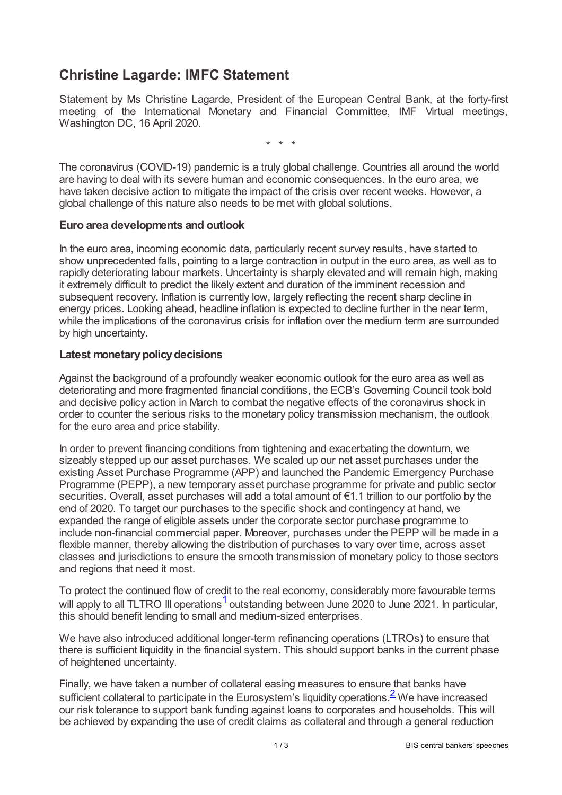# **Christine Lagarde: IMFC Statement**

Statement by Ms Christine Lagarde, President of the European Central Bank, at the forty-first meeting of the International Monetary and Financial Committee, IMF Virtual meetings, Washington DC, 16 April 2020.

\* \* \*

The coronavirus (COVID-19) pandemic is a truly global challenge. Countries all around the world are having to deal with its severe human and economic consequences. In the euro area, we have taken decisive action to mitigate the impact of the crisis over recent weeks. However, a global challenge of this nature also needs to be met with global solutions.

### **Euro area developments and outlook**

In the euro area, incoming economic data, particularly recent survey results, have started to show unprecedented falls, pointing to a large contraction in output in the euro area, as well as to rapidly deteriorating labour markets. Uncertainty is sharply elevated and will remain high, making it extremely difficult to predict the likely extent and duration of the imminent recession and subsequent recovery. Inflation is currently low, largely reflecting the recent sharp decline in energy prices. Looking ahead, headline inflation is expected to decline further in the near term, while the implications of the coronavirus crisis for inflation over the medium term are surrounded by high uncertainty.

### **Latest monetary policy decisions**

Against the background of a profoundly weaker economic outlook for the euro area as well as deteriorating and more fragmented financial conditions, the ECB's Governing Council took bold and decisive policy action in March to combat the negative effects of the coronavirus shock in order to counter the serious risks to the monetary policy transmission mechanism, the outlook for the euro area and price stability.

In order to prevent financing conditions from tightening and exacerbating the downturn, we sizeably stepped up our asset purchases. We scaled up our net asset purchases under the existing Asset Purchase Programme (APP) and launched the Pandemic Emergency Purchase Programme (PEPP), a new temporary asset purchase programme for private and public sector securities. Overall, asset purchases will add a total amount of €1.1 trillion to our portfolio by the end of 2020. To target our purchases to the specific shock and contingency at hand, we expanded the range of eligible assets under the corporate sector purchase programme to include non-financial commercial paper. Moreover, purchases under the PEPP will be made in a flexible manner, thereby allowing the distribution of purchases to vary over time, across asset classes and jurisdictions to ensure the smooth transmission of monetary policy to those sectors and regions that need it most.

<span id="page-0-0"></span>To protect the continued flow of credit to the real economy, considerably more favourable terms will apply to all TLTRO III operations<sup>[1](#page-2-0)</sup> outstanding between June 2020 to June 2021. In particular, this should benefit lending to small and medium-sized enterprises.

We have also introduced additional longer-term refinancing operations (LTROs) to ensure that there is sufficient liquidity in the financial system. This should support banks in the current phase of heightened uncertainty.

<span id="page-0-1"></span>Finally, we have taken a number of collateral easing measures to ensure that banks have sufficient collateral to participate in the Eurosystem's liquidity operations. $\frac{2}{3}$  $\frac{2}{3}$  $\frac{2}{3}$  We have increased our risk tolerance to support bank funding against loans to corporates and households. This will be achieved by expanding the use of credit claims as collateral and through a general reduction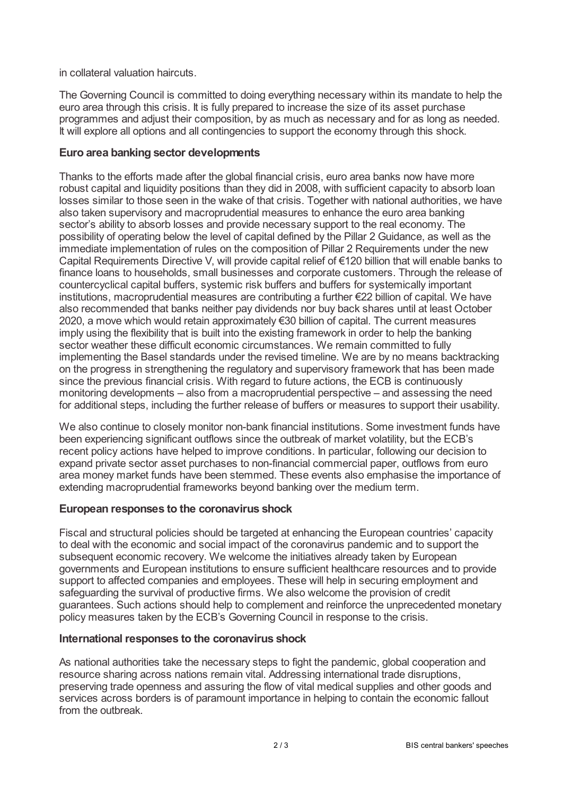in collateral valuation haircuts.

The Governing Council is committed to doing everything necessary within its mandate to help the euro area through this crisis. It is fully prepared to increase the size of its asset purchase programmes and adjust their composition, by as much as necessary and for as long as needed. It will explore all options and all contingencies to support the economy through this shock.

# **Euro area banking sector developments**

Thanks to the efforts made after the global financial crisis, euro area banks now have more robust capital and liquidity positions than they did in 2008, with sufficient capacity to absorb loan losses similar to those seen in the wake of that crisis. Together with national authorities, we have also taken supervisory and macroprudential measures to enhance the euro area banking sector's ability to absorb losses and provide necessary support to the real economy. The possibility of operating below the level of capital defined by the Pillar 2 Guidance, as well as the immediate implementation of rules on the composition of Pillar 2 Requirements under the new Capital Requirements Directive V, will provide capital relief of €120 billion that will enable banks to finance loans to households, small businesses and corporate customers. Through the release of countercyclical capital buffers, systemic risk buffers and buffers for systemically important institutions, macroprudential measures are contributing a further €22 billion of capital. We have also recommended that banks neither pay dividends nor buy back shares until at least October 2020, a move which would retain approximately €30 billion of capital. The current measures imply using the flexibility that is built into the existing framework in order to help the banking sector weather these difficult economic circumstances. We remain committed to fully implementing the Basel standards under the revised timeline. We are by no means backtracking on the progress in strengthening the regulatory and supervisory framework that has been made since the previous financial crisis. With regard to future actions, the ECB is continuously monitoring developments – also from a macroprudential perspective – and assessing the need for additional steps, including the further release of buffers or measures to support their usability.

We also continue to closely monitor non-bank financial institutions. Some investment funds have been experiencing significant outflows since the outbreak of market volatility, but the ECB's recent policy actions have helped to improve conditions. In particular, following our decision to expand private sector asset purchases to non-financial commercial paper, outflows from euro area money market funds have been stemmed. These events also emphasise the importance of extending macroprudential frameworks beyond banking over the medium term.

# **European responses to the coronavirus shock**

Fiscal and structural policies should be targeted at enhancing the European countries' capacity to deal with the economic and social impact of the coronavirus pandemic and to support the subsequent economic recovery. We welcome the initiatives already taken by European governments and European institutions to ensure sufficient healthcare resources and to provide support to affected companies and employees. These will help in securing employment and safeguarding the survival of productive firms. We also welcome the provision of credit guarantees. Such actions should help to complement and reinforce the unprecedented monetary policy measures taken by the ECB's Governing Council in response to the crisis.

#### **International responses to the coronavirus shock**

As national authorities take the necessary steps to fight the pandemic, global cooperation and resource sharing across nations remain vital. Addressing international trade disruptions, preserving trade openness and assuring the flow of vital medical supplies and other goods and services across borders is of paramount importance in helping to contain the economic fallout from the outbreak.